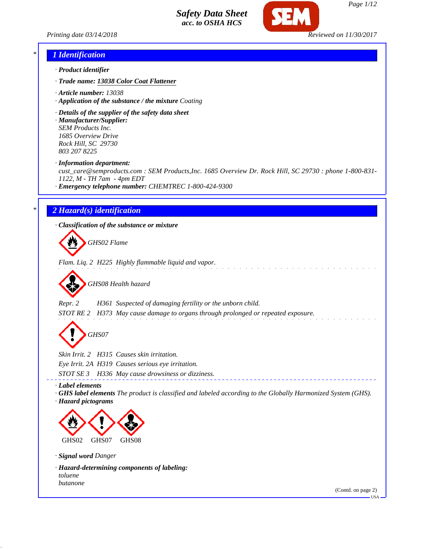



*Page 1/12*

#### *\* 1 Identification*

- *· Product identifier*
- *· Trade name: 13038 Color Coat Flattener*
- *· Article number: 13038*
- *· Application of the substance / the mixture Coating*
- *· Details of the supplier of the safety data sheet*
- *· Manufacturer/Supplier: SEM Products Inc. 1685 Overview Drive Rock Hill, SC 29730 803 207 8225*
- *· Information department:*

*cust\_care@semproducts.com : SEM Products,Inc. 1685 Overview Dr. Rock Hill, SC 29730 : phone 1-800-831- 1122, M - TH 7am - 4pm EDT*

and a straight and

*· Emergency telephone number: CHEMTREC 1-800-424-9300*

#### *\* 2 Hazard(s) identification*

*· Classification of the substance or mixture*

*GHS02 Flame*

*Flam. Liq. 2 H225 Highly flammable liquid and vapor.*



*Repr. 2 H361 Suspected of damaging fertility or the unborn child.*

*STOT RE 2 H373 May cause damage to organs through prolonged or repeated exposure.*

*GHS07*

*Skin Irrit. 2 H315 Causes skin irritation.*

*Eye Irrit. 2A H319 Causes serious eye irritation.*

*STOT SE 3 H336 May cause drowsiness or dizziness.*

*· Label elements*

*· GHS label elements The product is classified and labeled according to the Globally Harmonized System (GHS). · Hazard pictograms*



*· Signal word Danger*

*· Hazard-determining components of labeling: toluene butanone*

(Contd. on page 2)

 $-HSA$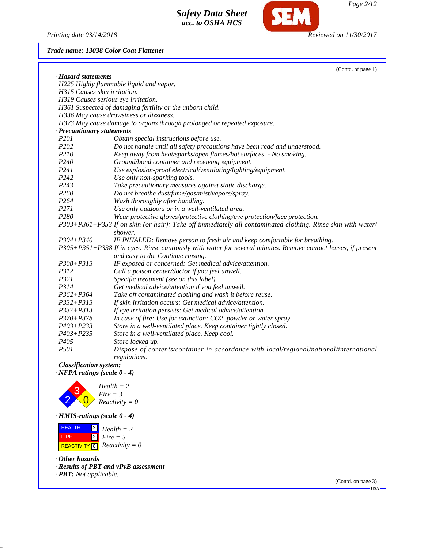*Printing date 03/14/2018 Reviewed on 11/30/2017*

**SEM** 

## *Trade name: 13038 Color Coat Flattener*

|                                     | (Contd. of page 1)                                                                                            |
|-------------------------------------|---------------------------------------------------------------------------------------------------------------|
| · Hazard statements                 |                                                                                                               |
|                                     | H225 Highly flammable liquid and vapor.                                                                       |
| H315 Causes skin irritation.        |                                                                                                               |
| H319 Causes serious eye irritation. |                                                                                                               |
|                                     | H361 Suspected of damaging fertility or the unborn child.                                                     |
|                                     | H336 May cause drowsiness or dizziness.                                                                       |
|                                     | H373 May cause damage to organs through prolonged or repeated exposure.                                       |
| · Precautionary statements          |                                                                                                               |
| P <sub>201</sub>                    | Obtain special instructions before use.                                                                       |
| P <sub>202</sub>                    | Do not handle until all safety precautions have been read and understood.                                     |
| P210                                | Keep away from heat/sparks/open flames/hot surfaces. - No smoking.                                            |
| P <sub>240</sub>                    | Ground/bond container and receiving equipment.                                                                |
| P241                                | Use explosion-proof electrical/ventilating/lighting/equipment.                                                |
| P <sub>242</sub>                    | Use only non-sparking tools.                                                                                  |
| P243                                | Take precautionary measures against static discharge.                                                         |
| P <sub>260</sub>                    | Do not breathe dust/fume/gas/mist/vapors/spray.                                                               |
| P <sub>264</sub>                    | Wash thoroughly after handling.                                                                               |
| P271                                | Use only outdoors or in a well-ventilated area.                                                               |
| P <sub>280</sub>                    | Wear protective gloves/protective clothing/eye protection/face protection.                                    |
|                                     | P303+P361+P353 If on skin (or hair): Take off immediately all contaminated clothing. Rinse skin with water/   |
|                                     | shower.                                                                                                       |
| $P304 + P340$                       | IF INHALED: Remove person to fresh air and keep comfortable for breathing.                                    |
|                                     | P305+P351+P338 If in eyes: Rinse cautiously with water for several minutes. Remove contact lenses, if present |
|                                     | and easy to do. Continue rinsing.                                                                             |
| P308+P313                           | IF exposed or concerned: Get medical advice/attention.                                                        |
| P312                                | Call a poison center/doctor if you feel unwell.                                                               |
| P321                                | Specific treatment (see on this label).                                                                       |
| P314                                | Get medical advice/attention if you feel unwell.                                                              |
| $P362 + P364$                       | Take off contaminated clothing and wash it before reuse.                                                      |
| $P332 + P313$                       | If skin irritation occurs: Get medical advice/attention.                                                      |
| $P337 + P313$                       | If eye irritation persists: Get medical advice/attention.                                                     |
| $P370 + P378$                       | In case of fire: Use for extinction: CO2, powder or water spray.                                              |
| $P403 + P233$                       | Store in a well-ventilated place. Keep container tightly closed.                                              |
| $P403 + P235$                       | Store in a well-ventilated place. Keep cool.                                                                  |
| P <sub>405</sub>                    | Store locked up.                                                                                              |
| P501                                | Dispose of contents/container in accordance with local/regional/national/international<br>regulations.        |
| · Classification system:            |                                                                                                               |
| $\cdot$ NFPA ratings (scale 0 - 4)  |                                                                                                               |



*Health = 2 Fire = 3 Reactivity = 0*

*· HMIS-ratings (scale 0 - 4)*

 HEALTH FIRE  $\overline{REACTIVITY[0]}$  *Reactivity* = 0 2 *Health = 2* 3 *Fire = 3*

*· Other hazards*

*· Results of PBT and vPvB assessment*

*· PBT: Not applicable.*

(Contd. on page 3) USA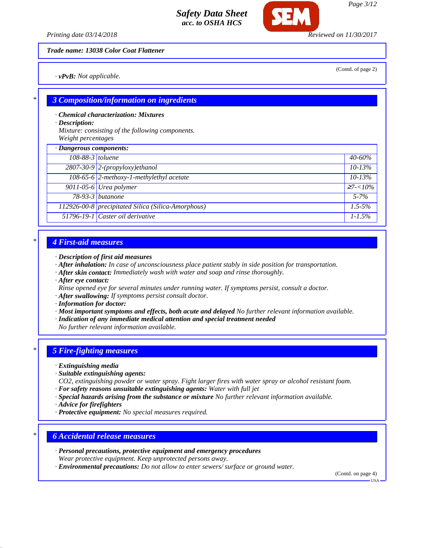*Printing date 03/14/2018 Reviewed on 11/30/2017*

*Trade name: 13038 Color Coat Flattener*

*· vPvB: Not applicable.*

(Contd. of page 2)

*Page 3/12*

#### *\* 3 Composition/information on ingredients*

*· Chemical characterization: Mixtures*

*· Description:*

*Mixture: consisting of the following components. Weight percentages*

| · Dangerous components: |                                                    |                 |
|-------------------------|----------------------------------------------------|-----------------|
| 108-88-3 toluene        |                                                    | $40 - 60\%$     |
|                         | $2807-30-9$ 2-(propyloxy)ethanol                   | $10 - 13%$      |
|                         | 108-65-6 2-methoxy-1-methylethyl acetate           | $10 - 13\%$     |
|                         | $9011-05-6$ Urea polymer                           | $\geq 7 < 10\%$ |
|                         | 78-93-3 <i>butanone</i>                            | $5 - 7\%$       |
|                         | 112926-00-8 precipitated Silica (Silica-Amorphous) | $1.5 - 5\%$     |
|                         | 51796-19-1 Caster oil derivative                   | $1 - 1.5\%$     |

#### *\* 4 First-aid measures*

- *· Description of first aid measures*
- *· After inhalation: In case of unconsciousness place patient stably in side position for transportation.*
- *· After skin contact: Immediately wash with water and soap and rinse thoroughly.*
- *· After eye contact:*
- *Rinse opened eye for several minutes under running water. If symptoms persist, consult a doctor.*
- *· After swallowing: If symptoms persist consult doctor.*
- *· Information for doctor:*
- *· Most important symptoms and effects, both acute and delayed No further relevant information available.*
- *· Indication of any immediate medical attention and special treatment needed*

*No further relevant information available.*

#### *\* 5 Fire-fighting measures*

*· Extinguishing media*

- *· Suitable extinguishing agents:*
- *CO2, extinguishing powder or water spray. Fight larger fires with water spray or alcohol resistant foam.*
- *· For safety reasons unsuitable extinguishing agents: Water with full jet*
- *· Special hazards arising from the substance or mixture No further relevant information available.*
- *· Advice for firefighters*
- *· Protective equipment: No special measures required.*

#### *\* 6 Accidental release measures*

- *· Personal precautions, protective equipment and emergency procedures*
- *Wear protective equipment. Keep unprotected persons away.*

*· Environmental precautions: Do not allow to enter sewers/ surface or ground water.*

(Contd. on page 4)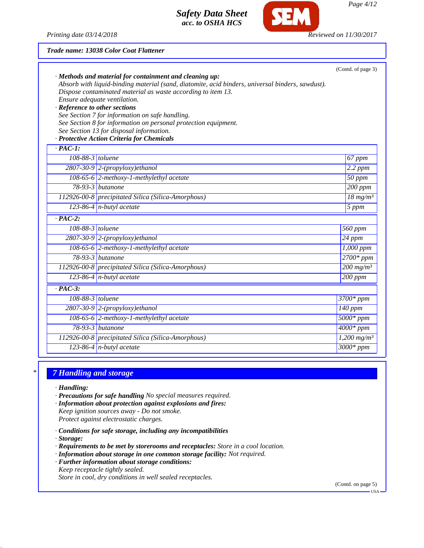

*Page 4/12*

#### *Trade name: 13038 Color Coat Flattener*

| · Reference to other sections | · Methods and material for containment and cleaning up:<br>Absorb with liquid-binding material (sand, diatomite, acid binders, universal binders, sawdust).<br>Dispose contaminated material as waste according to item 13.<br>Ensure adequate ventilation.<br>See Section 7 for information on safe handling.<br>See Section 8 for information on personal protection equipment.<br>See Section 13 for disposal information.<br>· Protective Action Criteria for Chemicals | (Contd. of page 3)        |
|-------------------------------|-----------------------------------------------------------------------------------------------------------------------------------------------------------------------------------------------------------------------------------------------------------------------------------------------------------------------------------------------------------------------------------------------------------------------------------------------------------------------------|---------------------------|
| $\cdot$ PAC-1:                |                                                                                                                                                                                                                                                                                                                                                                                                                                                                             |                           |
| 108-88-3 toluene              |                                                                                                                                                                                                                                                                                                                                                                                                                                                                             | 67 ppm                    |
|                               | $2807-30-9$ 2-(propyloxy)ethanol                                                                                                                                                                                                                                                                                                                                                                                                                                            | 2.2 ppm                   |
|                               | 108-65-6 2-methoxy-1-methylethyl acetate                                                                                                                                                                                                                                                                                                                                                                                                                                    | $50$ ppm                  |
|                               | $78-93-3$ butanone                                                                                                                                                                                                                                                                                                                                                                                                                                                          | 200 ppm                   |
|                               | 112926-00-8 precipitated Silica (Silica-Amorphous)                                                                                                                                                                                                                                                                                                                                                                                                                          | $18 \text{ mg/m}^3$       |
|                               | 123-86-4 $n$ -butyl acetate                                                                                                                                                                                                                                                                                                                                                                                                                                                 | 5 ppm                     |
| $\overline{PAC-2}$ :          |                                                                                                                                                                                                                                                                                                                                                                                                                                                                             |                           |
| 108-88-3 toluene              |                                                                                                                                                                                                                                                                                                                                                                                                                                                                             | 560 ppm                   |
|                               | $2807-30-9$ 2-(propyloxy)ethanol                                                                                                                                                                                                                                                                                                                                                                                                                                            | $24$ ppm                  |
|                               | 108-65-6 2-methoxy-1-methylethyl acetate                                                                                                                                                                                                                                                                                                                                                                                                                                    | 1,000 ppm                 |
|                               | $78-93-3$ butanone                                                                                                                                                                                                                                                                                                                                                                                                                                                          | $2700*$ ppm               |
|                               | 112926-00-8 precipitated Silica (Silica-Amorphous)                                                                                                                                                                                                                                                                                                                                                                                                                          | $200$ mg/m <sup>3</sup>   |
|                               | 123-86-4 $n$ -butyl acetate                                                                                                                                                                                                                                                                                                                                                                                                                                                 | $200$ ppm                 |
| $\cdot$ PAC-3:                |                                                                                                                                                                                                                                                                                                                                                                                                                                                                             |                           |
| 108-88-3 toluene              |                                                                                                                                                                                                                                                                                                                                                                                                                                                                             | 3700* ppm                 |
|                               | $2807-30-9$ 2-(propyloxy)ethanol                                                                                                                                                                                                                                                                                                                                                                                                                                            | 140 ppm                   |
|                               | 108-65-6 2-methoxy-1-methylethyl acetate                                                                                                                                                                                                                                                                                                                                                                                                                                    | $5000*ppm$                |
|                               | $78-93-3$ butanone                                                                                                                                                                                                                                                                                                                                                                                                                                                          | $4000*$ ppm               |
|                               | 112926-00-8 precipitated Silica (Silica-Amorphous)                                                                                                                                                                                                                                                                                                                                                                                                                          | $1,200$ mg/m <sup>3</sup> |
|                               | $123-86-4$ n-butyl acetate                                                                                                                                                                                                                                                                                                                                                                                                                                                  | $3000*ppm$                |

## *\* 7 Handling and storage*

- *· Handling:*
- *· Precautions for safe handling No special measures required.*
- *· Information about protection against explosions and fires: Keep ignition sources away - Do not smoke.*

*Protect against electrostatic charges.*

- *· Conditions for safe storage, including any incompatibilities*
- *· Storage:*
- *· Requirements to be met by storerooms and receptacles: Store in a cool location.*
- *· Information about storage in one common storage facility: Not required.*
- *· Further information about storage conditions: Keep receptacle tightly sealed. Store in cool, dry conditions in well sealed receptacles.*

(Contd. on page 5)

USA<sup>.</sup>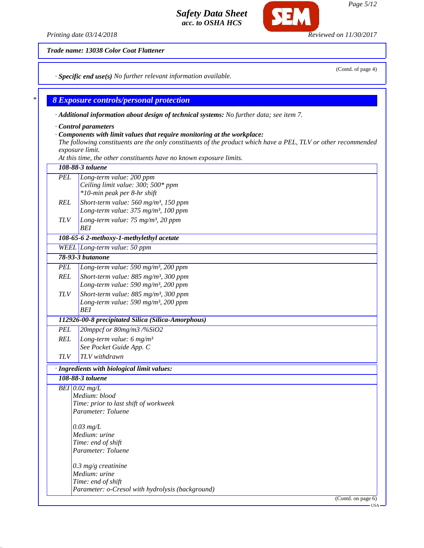*Printing date 03/14/2018 Reviewed on 11/30/2017*

*Trade name: 13038 Color Coat Flattener*

*· Specific end use(s) No further relevant information available.*

#### *\* 8 Exposure controls/personal protection*

| $\cdot$ Additional information about design of technical systems: No further data; see item 7. |  |
|------------------------------------------------------------------------------------------------|--|
| Control parameters                                                                             |  |

#### *· Components with limit values that require monitoring at the workplace:*

*The following constituents are the only constituents of the product which have a PEL, TLV or other recommended exposure limit.*

*At this time, the other constituents have no known exposure limits.*

#### *108-88-3 toluene PEL Long-term value: 200 ppm*

| $*$ 10-min peak per 8-hr shift                      |
|-----------------------------------------------------|
| Short-term value: $560$ mg/m <sup>3</sup> , 150 ppm |
| Long-term value: $375 \text{ mg/m}^3$ , 100 ppm     |
|                                                     |

*Ceiling limit value: 300; 500\* ppm*

*TLV Long-term value: 75 mg/m³, 20 ppm BEI*

## *108-65-6 2-methoxy-1-methylethyl acetate*

*WEEL Long-term value: 50 ppm*

- *78-93-3 butanone PEL Long-term value: 590 mg/m³, 200 ppm REL Short-term value: 885 mg/m³, 300 ppm*
- *Long-term value: 590 mg/m³, 200 ppm TLV Short-term value: 885 mg/m³, 300 ppm Long-term value: 590 mg/m³, 200 ppm*

## *112926-00-8 precipitated Silica (Silica-Amorphous)*

*PEL 20mppcf or 80mg/m3 /%SiO2 REL Long-term value: 6 mg/m³ See Pocket Guide App. C*

*TLV TLV withdrawn*

*BEI*

## *· Ingredients with biological limit values:*

*108-88-3 toluene BEI 0.02 mg/L Medium: blood*

*Time: prior to last shift of workweek Parameter: Toluene*

*0.03 mg/L Medium: urine Time: end of shift Parameter: Toluene*

*0.3 mg/g creatinine Medium: urine Time: end of shift Parameter: o-Cresol with hydrolysis (background)*

(Contd. on page 6)

*Page 5/12*

(Contd. of page 4)

USA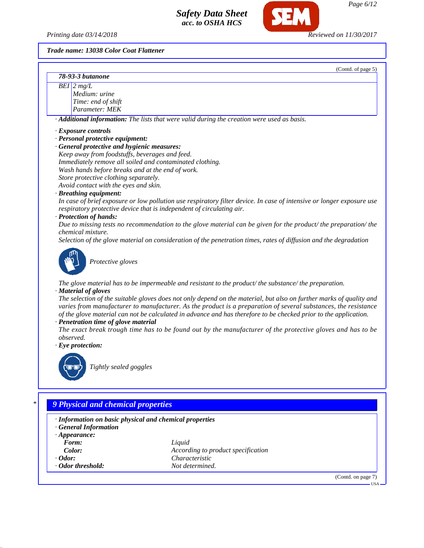*Printing date 03/14/2018 Reviewed on 11/30/2017*

(Contd. of page 5)

*Trade name: 13038 Color Coat Flattener*

| 78-93-3 butanone |
|------------------|
|                  |

*BEI 2 mg/L Medium: urine Time: end of shift Parameter: MEK*

*· Additional information: The lists that were valid during the creation were used as basis.*

## *· Exposure controls*

- *· Personal protective equipment:*
- *· General protective and hygienic measures:*

*Keep away from foodstuffs, beverages and feed. Immediately remove all soiled and contaminated clothing. Wash hands before breaks and at the end of work.*

*Store protective clothing separately.*

*Avoid contact with the eyes and skin.*

## *· Breathing equipment:*

*In case of brief exposure or low pollution use respiratory filter device. In case of intensive or longer exposure use respiratory protective device that is independent of circulating air.*

## *· Protection of hands:*

*Due to missing tests no recommendation to the glove material can be given for the product/ the preparation/ the chemical mixture.*

*Selection of the glove material on consideration of the penetration times, rates of diffusion and the degradation*



*Protective gloves*

*The glove material has to be impermeable and resistant to the product/ the substance/ the preparation.*

#### *· Material of gloves*

*The selection of the suitable gloves does not only depend on the material, but also on further marks of quality and varies from manufacturer to manufacturer. As the product is a preparation of several substances, the resistance of the glove material can not be calculated in advance and has therefore to be checked prior to the application.*

#### *· Penetration time of glove material*

*The exact break trough time has to be found out by the manufacturer of the protective gloves and has to be observed.*

*· Eye protection:*



*Tightly sealed goggles*

## *\* 9 Physical and chemical properties*

#### *· Information on basic physical and chemical properties*

- *· General Information*
- *· Appearance:*
- 
- 
- 
- *· Odor threshold: Not determined.*

*Form: Liquid Color: According to product specification · Odor: Characteristic*

(Contd. on page 7)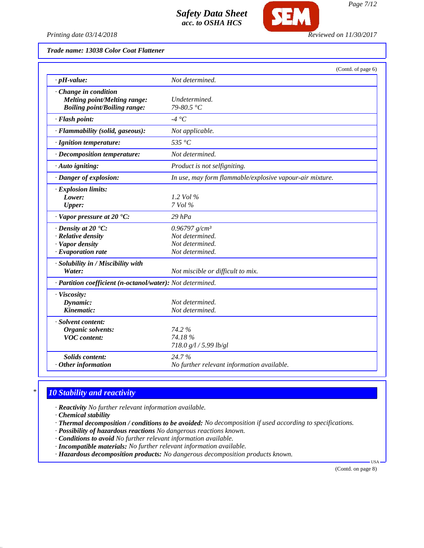

*Printing date 03/14/2018 Reviewed on 11/30/2017*

| Trade name: 13038 Color Coat Flattener |  |  |
|----------------------------------------|--|--|
|                                        |  |  |

|                                                                                                             | (Contd. of page 6)                                                        |
|-------------------------------------------------------------------------------------------------------------|---------------------------------------------------------------------------|
| $\cdot$ pH-value:                                                                                           | Not determined.                                                           |
| $\cdot$ Change in condition<br><b>Melting point/Melting range:</b><br><b>Boiling point/Boiling range:</b>   | Undetermined.<br>79-80.5 °C                                               |
| · Flash point:                                                                                              | -4 °C                                                                     |
| · Flammability (solid, gaseous):                                                                            | Not applicable.                                                           |
| · Ignition temperature:                                                                                     | 535 $\degree$ C                                                           |
| · Decomposition temperature:                                                                                | Not determined.                                                           |
| $\cdot$ Auto igniting:                                                                                      | Product is not selfigniting.                                              |
| · Danger of explosion:                                                                                      | In use, may form flammable/explosive vapour-air mixture.                  |
| · Explosion limits:<br>Lower:<br><b>Upper:</b>                                                              | 1.2 Vol $\%$<br>7 Vol %                                                   |
| $\cdot$ Vapor pressure at 20 $\cdot$ C:                                                                     | $29$ $hPa$                                                                |
| $\cdot$ Density at 20 $\textdegree$ C:<br>· Relative density<br>· Vapor density<br>$\cdot$ Evaporation rate | 0.96797 $g/cm^3$<br>Not determined.<br>Not determined.<br>Not determined. |
| · Solubility in / Miscibility with<br>Water:                                                                | Not miscible or difficult to mix.                                         |
| · Partition coefficient (n-octanol/water): Not determined.                                                  |                                                                           |
| · Viscosity:<br>Dynamic:<br>Kinematic:                                                                      | Not determined.<br>Not determined.                                        |
| · Solvent content:<br>Organic solvents:<br><b>VOC</b> content:                                              | 74.2%<br>74.18%<br>718.0 g/l / 5.99 lb/gl                                 |
| <b>Solids content:</b><br>$·$ Other information                                                             | 24.7%<br>No further relevant information available.                       |

## *\* 10 Stability and reactivity*

*· Reactivity No further relevant information available.*

*· Chemical stability*

*· Thermal decomposition / conditions to be avoided: No decomposition if used according to specifications.*

- *· Possibility of hazardous reactions No dangerous reactions known.*
- *· Conditions to avoid No further relevant information available.*
- *· Incompatible materials: No further relevant information available.*

*· Hazardous decomposition products: No dangerous decomposition products known.*

(Contd. on page 8)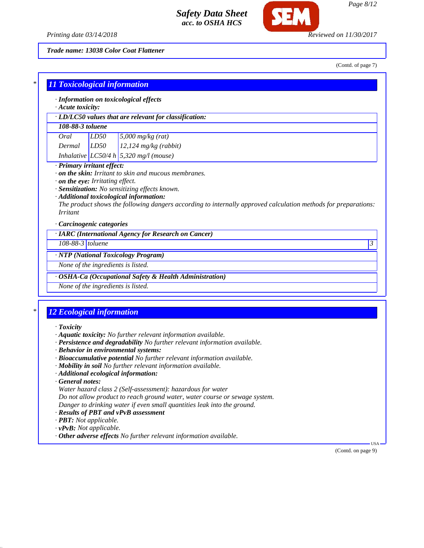

*Trade name: 13038 Color Coat Flattener*

(Contd. of page 7)

| <b>11 Toxicological information</b>                                                                                                                                                                                                                               |  |  |  |  |
|-------------------------------------------------------------------------------------------------------------------------------------------------------------------------------------------------------------------------------------------------------------------|--|--|--|--|
| · Information on toxicological effects                                                                                                                                                                                                                            |  |  |  |  |
| $\cdot$ Acute toxicity:<br>· LD/LC50 values that are relevant for classification:                                                                                                                                                                                 |  |  |  |  |
| 108-88-3 toluene                                                                                                                                                                                                                                                  |  |  |  |  |
| LD50<br>$5,000$ mg/kg (rat)<br>Oral                                                                                                                                                                                                                               |  |  |  |  |
| LD50<br>$12,124$ mg/kg (rabbit)<br>Dermal                                                                                                                                                                                                                         |  |  |  |  |
| Inhalative LC50/4 h 5,320 mg/l (mouse)                                                                                                                                                                                                                            |  |  |  |  |
| $\cdot$ on the eye: Irritating effect.<br>· Sensitization: No sensitizing effects known.<br>· Additional toxicological information:<br>The product shows the following dangers according to internally approved calculation methods for preparations:<br>Irritant |  |  |  |  |
| Carcinogenic categories                                                                                                                                                                                                                                           |  |  |  |  |
| · IARC (International Agency for Research on Cancer)                                                                                                                                                                                                              |  |  |  |  |
| $108-88-3$ toluene<br>3                                                                                                                                                                                                                                           |  |  |  |  |
| · NTP (National Toxicology Program)                                                                                                                                                                                                                               |  |  |  |  |
| None of the ingredients is listed.                                                                                                                                                                                                                                |  |  |  |  |
| · OSHA-Ca (Occupational Safety & Health Administration)                                                                                                                                                                                                           |  |  |  |  |
| None of the ingredients is listed.                                                                                                                                                                                                                                |  |  |  |  |

# *\* 12 Ecological information*

#### *· Toxicity*

- *· Aquatic toxicity: No further relevant information available.*
- *· Persistence and degradability No further relevant information available.*
- *· Behavior in environmental systems:*
- *· Bioaccumulative potential No further relevant information available.*
- *· Mobility in soil No further relevant information available.*
- *· Additional ecological information:*
- *· General notes:*
- *Water hazard class 2 (Self-assessment): hazardous for water Do not allow product to reach ground water, water course or sewage system. Danger to drinking water if even small quantities leak into the ground.*
- *· Results of PBT and vPvB assessment*
- *· PBT: Not applicable.*
- *· vPvB: Not applicable.*
- *· Other adverse effects No further relevant information available.*

(Contd. on page 9)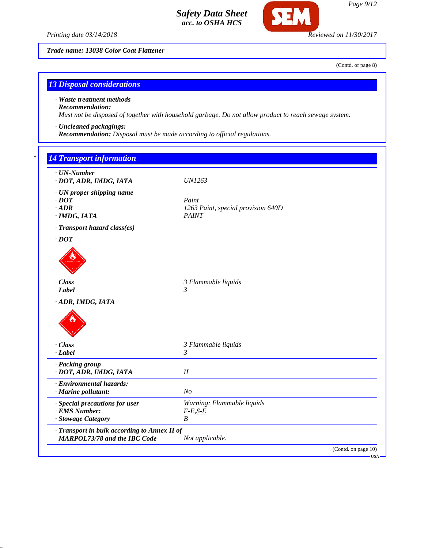*Printing date 03/14/2018 Reviewed on 11/30/2017*

**SEM** 

*Trade name: 13038 Color Coat Flattener*

(Contd. of page 8)

## *13 Disposal considerations*

*· Waste treatment methods*

#### *· Recommendation:*

*Must not be disposed of together with household garbage. Do not allow product to reach sewage system.*

- *· Uncleaned packagings:*
- *· Recommendation: Disposal must be made according to official regulations.*

| · UN-Number<br>· DOT, ADR, IMDG, IATA                                   | <b>UN1263</b>                                               |
|-------------------------------------------------------------------------|-------------------------------------------------------------|
| · UN proper shipping name<br>$\cdot$ DOT<br>$\cdot$ ADR<br>· IMDG, IATA | Paint<br>1263 Paint, special provision 640D<br><b>PAINT</b> |
| · Transport hazard class(es)                                            |                                                             |
| $\cdot$ DOT                                                             |                                                             |
|                                                                         |                                                             |
|                                                                         |                                                             |
| $\cdot$ Class                                                           | 3 Flammable liquids                                         |
| $-Label$<br>ADR, IMDG, IATA                                             | 3                                                           |
|                                                                         |                                                             |
| · Class<br>$-Label$                                                     | 3 Flammable liquids<br>3                                    |
| · Packing group                                                         |                                                             |
| · DOT, ADR, IMDG, IATA                                                  | $I\!I$                                                      |
| · Environmental hazards:                                                |                                                             |
| · Marine pollutant:                                                     | N <sub>O</sub>                                              |
| · Special precautions for user                                          | Warning: Flammable liquids                                  |
| · EMS Number:                                                           | $F-E,S-E$                                                   |
| · Stowage Category                                                      | $\boldsymbol{B}$                                            |
|                                                                         |                                                             |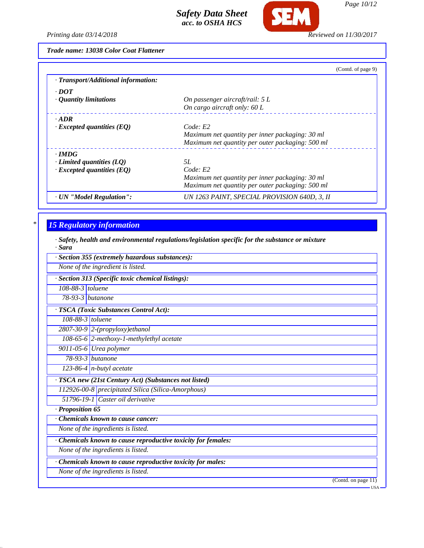

*Printing date 03/14/2018 Reviewed on 11/30/2017*

*Trade name: 13038 Color Coat Flattener*

| (Contd. of page 9)                               |
|--------------------------------------------------|
|                                                  |
|                                                  |
| On passenger aircraft/rail: $5 L$                |
| On cargo aircraft only: 60 L                     |
|                                                  |
| Code: E2                                         |
| Maximum net quantity per inner packaging: 30 ml  |
| Maximum net quantity per outer packaging: 500 ml |
|                                                  |
| 5L                                               |
| Code: E2                                         |
| Maximum net quantity per inner packaging: 30 ml  |
| Maximum net quantity per outer packaging: 500 ml |
| UN 1263 PAINT, SPECIAL PROVISION 640D, 3, II     |
|                                                  |

# *\* 15 Regulatory information*

*· Safety, health and environmental regulations/legislation specific for the substance or mixture · Sara*

| · Section 355 (extremely hazardous substances):             |                     |
|-------------------------------------------------------------|---------------------|
| None of the ingredient is listed.                           |                     |
| · Section 313 (Specific toxic chemical listings):           |                     |
| $108-88-3$ toluene                                          |                     |
| $78-93-3$ butanone                                          |                     |
| · TSCA (Toxic Substances Control Act):                      |                     |
| $108-88-3$ toluene                                          |                     |
| 2807-30-9 2-(propyloxy)ethanol                              |                     |
| 108-65-6 2-methoxy-1-methylethyl acetate                    |                     |
| 9011-05-6 Urea polymer                                      |                     |
| 78-93-3 <i>butanone</i>                                     |                     |
| 123-86-4 $n$ -butyl acetate                                 |                     |
| · TSCA new (21st Century Act) (Substances not listed)       |                     |
| 112926-00-8 precipitated Silica (Silica-Amorphous)          |                     |
| 51796-19-1 Caster oil derivative                            |                     |
| · Proposition 65                                            |                     |
| Chemicals known to cause cancer:                            |                     |
| None of the ingredients is listed.                          |                     |
| Chemicals known to cause reproductive toxicity for females: |                     |
| None of the ingredients is listed.                          |                     |
| · Chemicals known to cause reproductive toxicity for males: |                     |
| None of the ingredients is listed.                          |                     |
|                                                             | (Contd. on page 11) |
|                                                             | - USA               |

*Page 10/12*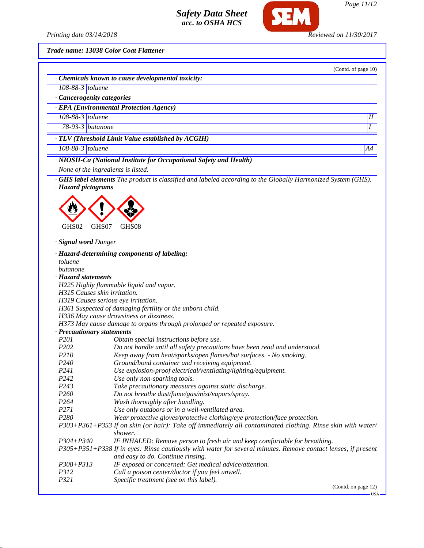

*Page 11/12*

(Contd. of page 10)

*Printing date 03/14/2018 Reviewed on 11/30/2017*

*Trade name: 13038 Color Coat Flattener*

| · Chemicals known to cause developmental toxicity: |  |
|----------------------------------------------------|--|
|----------------------------------------------------|--|

- *108-88-3 toluene*
- *· Cancerogenity categories*
- *· EPA (Environmental Protection Agency)*
- *108-88-3 toluene II*

*78-93-3 butanone I* 

*· TLV (Threshold Limit Value established by ACGIH)*

*108-88-3 toluene A4*

*· NIOSH-Ca (National Institute for Occupational Safety and Health)*

*None of the ingredients is listed.*

*· GHS label elements The product is classified and labeled according to the Globally Harmonized System (GHS). · Hazard pictograms*



*· Signal word Danger*

|                                     | Hazard-determining components of labeling:                                                                                                         |
|-------------------------------------|----------------------------------------------------------------------------------------------------------------------------------------------------|
| toluene                             |                                                                                                                                                    |
| butanone                            |                                                                                                                                                    |
| <b>Hazard statements</b>            |                                                                                                                                                    |
|                                     | H225 Highly flammable liquid and vapor.                                                                                                            |
| H315 Causes skin irritation.        |                                                                                                                                                    |
| H319 Causes serious eye irritation. |                                                                                                                                                    |
|                                     | H361 Suspected of damaging fertility or the unborn child.                                                                                          |
|                                     | H336 May cause drowsiness or dizziness.                                                                                                            |
|                                     | H373 May cause damage to organs through prolonged or repeated exposure.                                                                            |
| <b>Precautionary statements</b>     |                                                                                                                                                    |
| P <sub>201</sub>                    | Obtain special instructions before use.                                                                                                            |
| P <sub>202</sub>                    | Do not handle until all safety precautions have been read and understood.                                                                          |
| <i>P210</i>                         | Keep away from heat/sparks/open flames/hot surfaces. - No smoking.                                                                                 |
| P <sub>240</sub>                    | Ground/bond container and receiving equipment.                                                                                                     |
| P <sub>241</sub>                    | Use explosion-proof electrical/ventilating/lighting/equipment.                                                                                     |
| P <sub>242</sub>                    | Use only non-sparking tools.                                                                                                                       |
| P <sub>243</sub>                    | Take precautionary measures against static discharge.                                                                                              |
| P <sub>260</sub>                    | Do not breathe dust/fume/gas/mist/vapors/spray.                                                                                                    |
| P264                                | Wash thoroughly after handling.                                                                                                                    |
| P271                                | Use only outdoors or in a well-ventilated area.                                                                                                    |
| P280                                | Wear protective gloves/protective clothing/eye protection/face protection.                                                                         |
|                                     | P303+P361+P353 If on skin (or hair): Take off immediately all contaminated clothing. Rinse skin with water/<br>shower.                             |
| $P304 + P340$                       | IF INHALED: Remove person to fresh air and keep comfortable for breathing.                                                                         |
|                                     | P305+P351+P338 If in eyes: Rinse cautiously with water for several minutes. Remove contact lenses, if present<br>and easy to do. Continue rinsing. |
| $P308 + P313$                       | IF exposed or concerned: Get medical advice/attention.                                                                                             |
| P312                                | Call a poison center/doctor if you feel unwell.                                                                                                    |
| P321                                | Specific treatment (see on this label).                                                                                                            |
|                                     | (Contd. on page 12)                                                                                                                                |